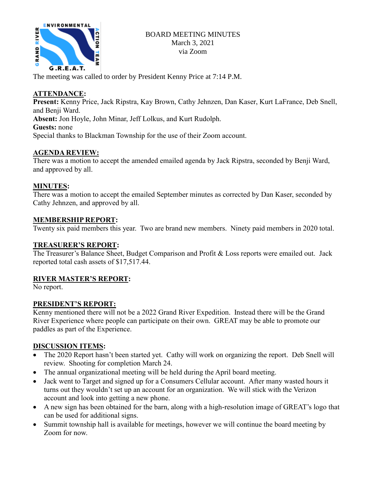

The meeting was called to order by President Kenny Price at 7:14 P.M.

# **ATTENDANCE:**

**Present:** Kenny Price, Jack Ripstra, Kay Brown, Cathy Jehnzen, Dan Kaser, Kurt LaFrance, Deb Snell, and Benji Ward.

**Absent:** Jon Hoyle, John Minar, Jeff Lolkus, and Kurt Rudolph.

### **Guests:** none

Special thanks to Blackman Township for the use of their Zoom account.

# **AGENDA REVIEW:**

There was a motion to accept the amended emailed agenda by Jack Ripstra, seconded by Benji Ward, and approved by all.

# **MINUTES:**

There was a motion to accept the emailed September minutes as corrected by Dan Kaser, seconded by Cathy Jehnzen, and approved by all.

## **MEMBERSHIP REPORT:**

Twenty six paid members this year. Two are brand new members. Ninety paid members in 2020 total.

## **TREASURER'S REPORT:**

The Treasurer's Balance Sheet, Budget Comparison and Profit & Loss reports were emailed out. Jack reported total cash assets of \$17,517.44.

## **RIVER MASTER'S REPORT:**

No report.

## **PRESIDENT'S REPORT:**

Kenny mentioned there will not be a 2022 Grand River Expedition. Instead there will be the Grand River Experience where people can participate on their own. GREAT may be able to promote our paddles as part of the Experience.

## **DISCUSSION ITEMS:**

- The 2020 Report hasn't been started yet. Cathy will work on organizing the report. Deb Snell will review. Shooting for completion March 24.
- The annual organizational meeting will be held during the April board meeting.
- Jack went to Target and signed up for a Consumers Cellular account. After many wasted hours it turns out they wouldn't set up an account for an organization. We will stick with the Verizon account and look into getting a new phone.
- A new sign has been obtained for the barn, along with a high-resolution image of GREAT's logo that can be used for additional signs.
- Summit township hall is available for meetings, however we will continue the board meeting by Zoom for now.